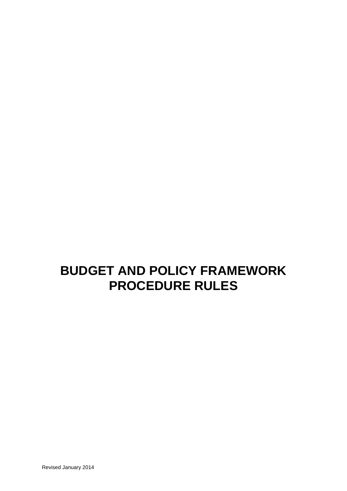# **BUDGET AND POLICY FRAMEWORK PROCEDURE RULES**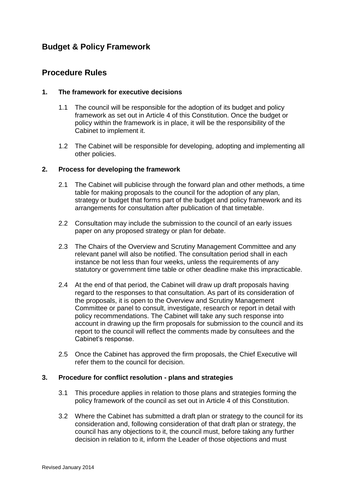# **Budget & Policy Framework**

# **Procedure Rules**

#### **1. The framework for executive decisions**

- 1.1 The council will be responsible for the adoption of its budget and policy framework as set out in Article 4 of this Constitution. Once the budget or policy within the framework is in place, it will be the responsibility of the Cabinet to implement it.
- 1.2 The Cabinet will be responsible for developing, adopting and implementing all other policies.

#### **2. Process for developing the framework**

- 2.1 The Cabinet will publicise through the forward plan and other methods, a time table for making proposals to the council for the adoption of any plan, strategy or budget that forms part of the budget and policy framework and its arrangements for consultation after publication of that timetable.
- 2.2 Consultation may include the submission to the council of an early issues paper on any proposed strategy or plan for debate.
- 2.3 The Chairs of the Overview and Scrutiny Management Committee and any relevant panel will also be notified. The consultation period shall in each instance be not less than four weeks, unless the requirements of any statutory or government time table or other deadline make this impracticable.
- 2.4 At the end of that period, the Cabinet will draw up draft proposals having regard to the responses to that consultation. As part of its consideration of the proposals, it is open to the Overview and Scrutiny Management Committee or panel to consult, investigate, research or report in detail with policy recommendations. The Cabinet will take any such response into account in drawing up the firm proposals for submission to the council and its report to the council will reflect the comments made by consultees and the Cabinet's response.
- 2.5 Once the Cabinet has approved the firm proposals, the Chief Executive will refer them to the council for decision.

#### **3. Procedure for conflict resolution - plans and strategies**

- 3.1 This procedure applies in relation to those plans and strategies forming the policy framework of the council as set out in Article 4 of this Constitution.
- 3.2 Where the Cabinet has submitted a draft plan or strategy to the council for its consideration and, following consideration of that draft plan or strategy, the council has any objections to it, the council must, before taking any further decision in relation to it, inform the Leader of those objections and must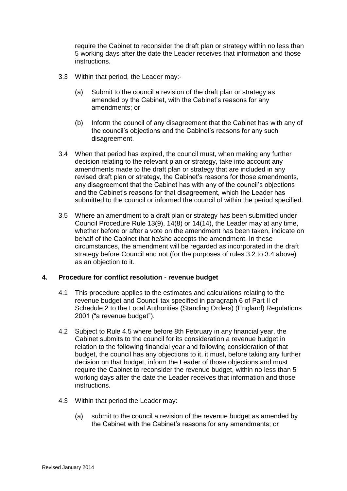require the Cabinet to reconsider the draft plan or strategy within no less than 5 working days after the date the Leader receives that information and those instructions.

- 3.3 Within that period, the Leader may:-
	- (a) Submit to the council a revision of the draft plan or strategy as amended by the Cabinet, with the Cabinet's reasons for any amendments; or
	- (b) Inform the council of any disagreement that the Cabinet has with any of the council's objections and the Cabinet's reasons for any such disagreement.
- 3.4 When that period has expired, the council must, when making any further decision relating to the relevant plan or strategy, take into account any amendments made to the draft plan or strategy that are included in any revised draft plan or strategy, the Cabinet's reasons for those amendments, any disagreement that the Cabinet has with any of the council's objections and the Cabinet's reasons for that disagreement, which the Leader has submitted to the council or informed the council of within the period specified.
- 3.5 Where an amendment to a draft plan or strategy has been submitted under Council Procedure Rule 13(9), 14(8) or 14(14), the Leader may at any time, whether before or after a vote on the amendment has been taken, indicate on behalf of the Cabinet that he/she accepts the amendment. In these circumstances, the amendment will be regarded as incorporated in the draft strategy before Council and not (for the purposes of rules 3.2 to 3.4 above) as an objection to it.

#### **4. Procedure for conflict resolution - revenue budget**

- 4.1 This procedure applies to the estimates and calculations relating to the revenue budget and Council tax specified in paragraph 6 of Part II of Schedule 2 to the Local Authorities (Standing Orders) (England) Regulations 2001 ("a revenue budget").
- 4.2 Subject to Rule 4.5 where before 8th February in any financial year, the Cabinet submits to the council for its consideration a revenue budget in relation to the following financial year and following consideration of that budget, the council has any objections to it, it must, before taking any further decision on that budget, inform the Leader of those objections and must require the Cabinet to reconsider the revenue budget, within no less than 5 working days after the date the Leader receives that information and those instructions.
- 4.3 Within that period the Leader may:
	- (a) submit to the council a revision of the revenue budget as amended by the Cabinet with the Cabinet's reasons for any amendments; or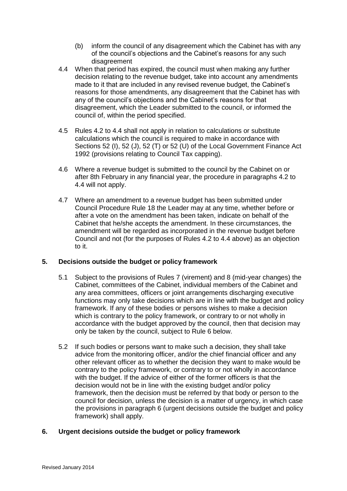- (b) inform the council of any disagreement which the Cabinet has with any of the council's objections and the Cabinet's reasons for any such disagreement
- 4.4 When that period has expired, the council must when making any further decision relating to the revenue budget, take into account any amendments made to it that are included in any revised revenue budget, the Cabinet's reasons for those amendments, any disagreement that the Cabinet has with any of the council's objections and the Cabinet's reasons for that disagreement, which the Leader submitted to the council, or informed the council of, within the period specified.
- 4.5 Rules 4.2 to 4.4 shall not apply in relation to calculations or substitute calculations which the council is required to make in accordance with Sections 52 (I), 52 (J), 52 (T) or 52 (U) of the Local Government Finance Act 1992 (provisions relating to Council Tax capping).
- 4.6 Where a revenue budget is submitted to the council by the Cabinet on or after 8th February in any financial year, the procedure in paragraphs 4.2 to 4.4 will not apply.
- 4.7 Where an amendment to a revenue budget has been submitted under Council Procedure Rule 18 the Leader may at any time, whether before or after a vote on the amendment has been taken, indicate on behalf of the Cabinet that he/she accepts the amendment. In these circumstances, the amendment will be regarded as incorporated in the revenue budget before Council and not (for the purposes of Rules 4.2 to 4.4 above) as an objection to it.

## **5. Decisions outside the budget or policy framework**

- 5.1 Subject to the provisions of Rules 7 (virement) and 8 (mid-year changes) the Cabinet, committees of the Cabinet, individual members of the Cabinet and any area committees, officers or joint arrangements discharging executive functions may only take decisions which are in line with the budget and policy framework. If any of these bodies or persons wishes to make a decision which is contrary to the policy framework, or contrary to or not wholly in accordance with the budget approved by the council, then that decision may only be taken by the council, subject to Rule 6 below.
- 5.2 If such bodies or persons want to make such a decision, they shall take advice from the monitoring officer, and/or the chief financial officer and any other relevant officer as to whether the decision they want to make would be contrary to the policy framework, or contrary to or not wholly in accordance with the budget. If the advice of either of the former officers is that the decision would not be in line with the existing budget and/or policy framework, then the decision must be referred by that body or person to the council for decision, unless the decision is a matter of urgency, in which case the provisions in paragraph 6 (urgent decisions outside the budget and policy framework) shall apply.

## **6. Urgent decisions outside the budget or policy framework**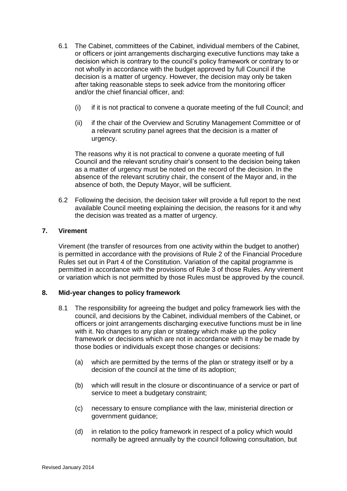- 6.1 The Cabinet, committees of the Cabinet, individual members of the Cabinet, or officers or joint arrangements discharging executive functions may take a decision which is contrary to the council's policy framework or contrary to or not wholly in accordance with the budget approved by full Council if the decision is a matter of urgency. However, the decision may only be taken after taking reasonable steps to seek advice from the monitoring officer and/or the chief financial officer, and:
	- (i) if it is not practical to convene a quorate meeting of the full Council; and
	- (ii) if the chair of the Overview and Scrutiny Management Committee or of a relevant scrutiny panel agrees that the decision is a matter of urgency.

The reasons why it is not practical to convene a quorate meeting of full Council and the relevant scrutiny chair's consent to the decision being taken as a matter of urgency must be noted on the record of the decision. In the absence of the relevant scrutiny chair, the consent of the Mayor and, in the absence of both, the Deputy Mayor, will be sufficient.

6.2 Following the decision, the decision taker will provide a full report to the next available Council meeting explaining the decision, the reasons for it and why the decision was treated as a matter of urgency.

#### **7. Virement**

Virement (the transfer of resources from one activity within the budget to another) is permitted in accordance with the provisions of Rule 2 of the Financial Procedure Rules set out in Part 4 of the Constitution. Variation of the capital programme is permitted in accordance with the provisions of Rule 3 of those Rules. Any virement or variation which is not permitted by those Rules must be approved by the council.

## **8. Mid-year changes to policy framework**

- 8.1 The responsibility for agreeing the budget and policy framework lies with the council, and decisions by the Cabinet, individual members of the Cabinet, or officers or joint arrangements discharging executive functions must be in line with it. No changes to any plan or strategy which make up the policy framework or decisions which are not in accordance with it may be made by those bodies or individuals except those changes or decisions:
	- (a) which are permitted by the terms of the plan or strategy itself or by a decision of the council at the time of its adoption;
	- (b) which will result in the closure or discontinuance of a service or part of service to meet a budgetary constraint;
	- (c) necessary to ensure compliance with the law, ministerial direction or government guidance;
	- (d) in relation to the policy framework in respect of a policy which would normally be agreed annually by the council following consultation, but